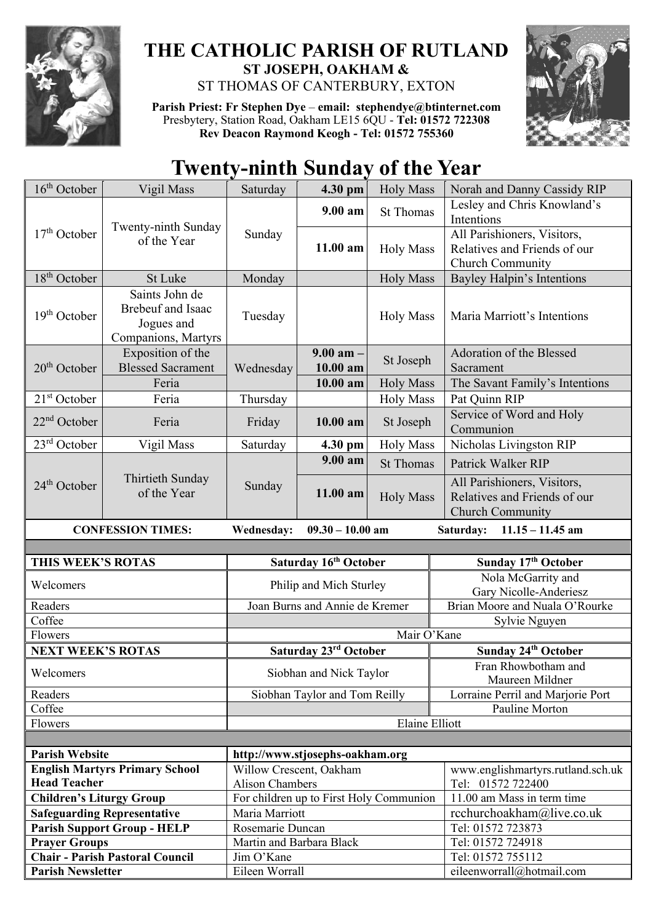

## **THE CATHOLIC PARISH OF RUTLAND ST JOSEPH, OAKHAM &**  ST THOMAS OF CANTERBURY, EXTON

**Parish Priest: Fr Stephen Dye** – **[email: stephendye@btinternet.com](mailto:email:%20%20stephendye@btinternet.com)** Presbytery, Station Road, Oakham LE15 6QU - **Tel: 01572 722308 Rev Deacon Raymond Keogh - Tel: 01572 755360**



## **Twenty-ninth Sunday of the Year**

| $16th$ October                                                                                    | Vigil Mass                                                               | Saturday                     | 4.30 pm                                 | <b>Holy Mass</b> | Norah and Danny Cassidy RIP                                                            |
|---------------------------------------------------------------------------------------------------|--------------------------------------------------------------------------|------------------------------|-----------------------------------------|------------------|----------------------------------------------------------------------------------------|
| $17th$ October                                                                                    | Twenty-ninth Sunday<br>of the Year                                       | Sunday                       | 9.00 am                                 | <b>St Thomas</b> | Lesley and Chris Knowland's<br>Intentions                                              |
|                                                                                                   |                                                                          |                              | 11.00 am                                | <b>Holy Mass</b> | All Parishioners, Visitors,<br>Relatives and Friends of our<br>Church Community        |
| $18th$ October                                                                                    | St Luke                                                                  | Monday                       |                                         | <b>Holy Mass</b> | <b>Bayley Halpin's Intentions</b>                                                      |
| $19th$ October                                                                                    | Saints John de<br>Brebeuf and Isaac<br>Jogues and<br>Companions, Martyrs | Tuesday                      |                                         | <b>Holy Mass</b> | Maria Marriott's Intentions                                                            |
| 20 <sup>th</sup> October                                                                          | Exposition of the<br><b>Blessed Sacrament</b>                            | Wednesday                    | $9.00$ am $-$<br>10.00 am               | St Joseph        | Adoration of the Blessed<br>Sacrament                                                  |
|                                                                                                   | Feria                                                                    |                              | 10.00 am                                | <b>Holy Mass</b> | The Savant Family's Intentions                                                         |
| $21st$ October                                                                                    | Feria                                                                    | Thursday                     |                                         | <b>Holy Mass</b> | Pat Quinn RIP                                                                          |
| $22nd$ October                                                                                    | Feria                                                                    | Friday                       | 10.00 am                                | St Joseph        | Service of Word and Holy<br>Communion                                                  |
| $23rd$ October                                                                                    | Vigil Mass                                                               | Saturday                     | 4.30 pm                                 | <b>Holy Mass</b> | Nicholas Livingston RIP                                                                |
|                                                                                                   |                                                                          |                              | 9.00 a <sub>m</sub>                     | <b>St Thomas</b> | Patrick Walker RIP                                                                     |
| $24th$ October                                                                                    | Thirtieth Sunday<br>of the Year                                          | Sunday                       | 11.00 am                                | <b>Holy Mass</b> | All Parishioners, Visitors,<br>Relatives and Friends of our<br><b>Church Community</b> |
| <b>CONFESSION TIMES:</b><br><b>Wednesday:</b><br>$09.30 - 10.00$ am<br>Saturday: 11.15 - 11.45 am |                                                                          |                              |                                         |                  |                                                                                        |
|                                                                                                   |                                                                          |                              |                                         |                  |                                                                                        |
|                                                                                                   |                                                                          |                              |                                         |                  |                                                                                        |
| THIS WEEK'S ROTAS                                                                                 |                                                                          |                              | Saturday 16th October                   |                  | Sunday 17th October                                                                    |
| Welcomers                                                                                         |                                                                          |                              | Philip and Mich Sturley                 |                  | Nola McGarrity and<br>Gary Nicolle-Anderiesz                                           |
| Readers                                                                                           |                                                                          |                              | Joan Burns and Annie de Kremer          |                  | Brian Moore and Nuala O'Rourke                                                         |
| Coffee                                                                                            |                                                                          |                              |                                         |                  | Sylvie Nguyen                                                                          |
| Flowers                                                                                           |                                                                          |                              |                                         | Mair O'Kane      |                                                                                        |
| <b>NEXT WEEK'S ROTAS</b>                                                                          |                                                                          |                              | Saturday 23rd October                   |                  | Sunday 24th October                                                                    |
| Welcomers                                                                                         |                                                                          |                              | Siobhan and Nick Taylor                 |                  | Fran Rhowbotham and<br>Maureen Mildner                                                 |
| Readers                                                                                           |                                                                          |                              | Siobhan Taylor and Tom Reilly           |                  | Lorraine Perril and Marjorie Port                                                      |
| Coffee                                                                                            |                                                                          |                              |                                         |                  | Pauline Morton                                                                         |
| Flowers                                                                                           |                                                                          |                              |                                         | Elaine Elliott   |                                                                                        |
|                                                                                                   |                                                                          |                              |                                         |                  |                                                                                        |
| <b>Parish Website</b>                                                                             |                                                                          |                              | http://www.stjosephs-oakham.org         |                  |                                                                                        |
|                                                                                                   | <b>English Martyrs Primary School</b>                                    | Willow Crescent, Oakham      |                                         |                  | www.englishmartyrs.rutland.sch.uk                                                      |
| <b>Head Teacher</b><br><b>Children's Liturgy Group</b>                                            |                                                                          | <b>Alison Chambers</b>       | For children up to First Holy Communion |                  | Tel: 01572 722400<br>11.00 am Mass in term time                                        |
|                                                                                                   | <b>Safeguarding Representative</b>                                       | Maria Marriott               |                                         |                  | rcchurchoakham@live.co.uk                                                              |
|                                                                                                   | <b>Parish Support Group - HELP</b>                                       | Rosemarie Duncan             |                                         |                  | Tel: 01572 723873                                                                      |
| <b>Prayer Groups</b>                                                                              |                                                                          | Martin and Barbara Black     |                                         |                  | Tel: 01572 724918                                                                      |
| <b>Parish Newsletter</b>                                                                          | <b>Chair - Parish Pastoral Council</b>                                   | Jim O'Kane<br>Eileen Worrall |                                         |                  | Tel: 01572 755112<br>eileenworrall@hotmail.com                                         |